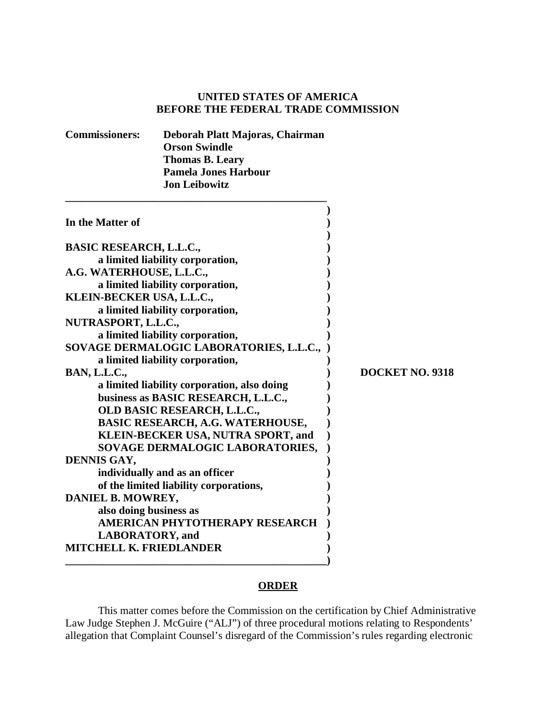# **UNITED STATES OF AMERICA BEFORE THE FEDERAL TRADE COMMISSION**

| <b>Commissioners:</b>                       | Deborah Platt Majoras, Chairman         |                 |
|---------------------------------------------|-----------------------------------------|-----------------|
|                                             | <b>Orson Swindle</b>                    |                 |
|                                             | <b>Thomas B. Leary</b>                  |                 |
|                                             | <b>Pamela Jones Harbour</b>             |                 |
|                                             | <b>Jon Leibowitz</b>                    |                 |
| In the Matter of                            |                                         |                 |
| <b>BASIC RESEARCH, L.L.C.,</b>              |                                         |                 |
|                                             | a limited liability corporation,        |                 |
| A.G. WATERHOUSE, L.L.C.,                    |                                         |                 |
|                                             | a limited liability corporation,        |                 |
| KLEIN-BECKER USA, L.L.C.,                   |                                         |                 |
|                                             | a limited liability corporation,        |                 |
| NUTRASPORT, L.L.C.,                         |                                         |                 |
|                                             | a limited liability corporation,        |                 |
|                                             | SOVAGE DERMALOGIC LABORATORIES, L.L.C., |                 |
|                                             | a limited liability corporation,        |                 |
| <b>BAN, L.L.C.,</b>                         |                                         | DOCKET NO. 9318 |
| a limited liability corporation, also doing |                                         |                 |
|                                             | business as BASIC RESEARCH, L.L.C.,     |                 |
|                                             | OLD BASIC RESEARCH, L.L.C.,             |                 |
|                                             | <b>BASIC RESEARCH, A.G. WATERHOUSE,</b> |                 |
|                                             | KLEIN-BECKER USA, NUTRA SPORT, and      |                 |
|                                             | SOVAGE DERMALOGIC LABORATORIES,         |                 |
| DENNIS GAY,                                 |                                         |                 |
|                                             | individually and as an officer          |                 |
|                                             | of the limited liability corporations,  |                 |
| DANIEL B. MOWREY,                           |                                         |                 |
| also doing business as                      |                                         |                 |
|                                             | AMERICAN PHYTOTHERAPY RESEARCH          |                 |
| <b>LABORATORY</b> , and                     |                                         |                 |
| <b>MITCHELL K. FRIEDLANDER</b>              |                                         |                 |
|                                             |                                         |                 |

## **ORDER**

This matter comes before the Commission on the certification by Chief Administrative Law Judge Stephen J. McGuire ("ALJ") of three procedural motions relating to Respondents' allegation that Complaint Counsel's disregard of the Commission's rules regarding electronic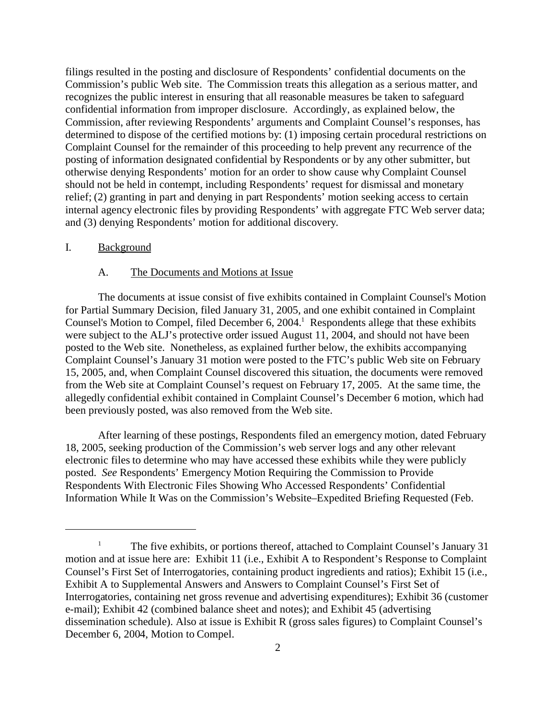filings resulted in the posting and disclosure of Respondents' confidential documents on the Commission's public Web site. The Commission treats this allegation as a serious matter, and recognizes the public interest in ensuring that all reasonable measures be taken to safeguard confidential information from improper disclosure. Accordingly, as explained below, the Commission, after reviewing Respondents' arguments and Complaint Counsel's responses, has determined to dispose of the certified motions by: (1) imposing certain procedural restrictions on Complaint Counsel for the remainder of this proceeding to help prevent any recurrence of the posting of information designated confidential by Respondents or by any other submitter, but otherwise denying Respondents' motion for an order to show cause why Complaint Counsel should not be held in contempt, including Respondents' request for dismissal and monetary relief; (2) granting in part and denying in part Respondents' motion seeking access to certain internal agency electronic files by providing Respondents' with aggregate FTC Web server data; and (3) denying Respondents' motion for additional discovery.

#### I. Background

#### A. The Documents and Motions at Issue

The documents at issue consist of five exhibits contained in Complaint Counsel's Motion for Partial Summary Decision, filed January 31, 2005, and one exhibit contained in Complaint Counsel's Motion to Compel, filed December 6, 2004.<sup>1</sup> Respondents allege that these exhibits were subject to the ALJ's protective order issued August 11, 2004, and should not have been posted to the Web site. Nonetheless, as explained further below, the exhibits accompanying Complaint Counsel's January 31 motion were posted to the FTC's public Web site on February 15, 2005, and, when Complaint Counsel discovered this situation, the documents were removed from the Web site at Complaint Counsel's request on February 17, 2005. At the same time, the allegedly confidential exhibit contained in Complaint Counsel's December 6 motion, which had been previously posted, was also removed from the Web site.

After learning of these postings, Respondents filed an emergency motion, dated February 18, 2005, seeking production of the Commission's web server logs and any other relevant electronic files to determine who may have accessed these exhibits while they were publicly posted. *See* Respondents' Emergency Motion Requiring the Commission to Provide Respondents With Electronic Files Showing Who Accessed Respondents' Confidential Information While It Was on the Commission's Website–Expedited Briefing Requested (Feb.

<sup>&</sup>lt;sup>1</sup> The five exhibits, or portions thereof, attached to Complaint Counsel's January 31 motion and at issue here are: Exhibit 11 (i.e., Exhibit A to Respondent's Response to Complaint Counsel's First Set of Interrogatories, containing product ingredients and ratios); Exhibit 15 (i.e., Exhibit A to Supplemental Answers and Answers to Complaint Counsel's First Set of Interrogatories, containing net gross revenue and advertising expenditures); Exhibit 36 (customer e-mail); Exhibit 42 (combined balance sheet and notes); and Exhibit 45 (advertising dissemination schedule). Also at issue is Exhibit R (gross sales figures) to Complaint Counsel's December 6, 2004, Motion to Compel.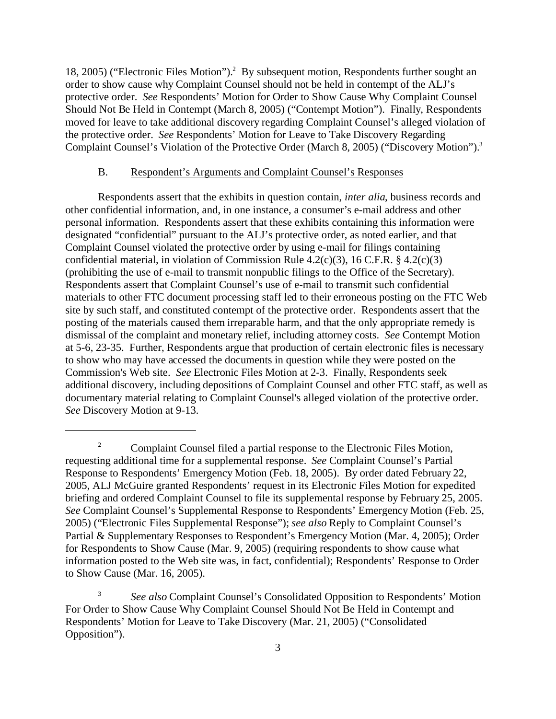18, 2005) ("Electronic Files Motion").<sup>2</sup> By subsequent motion, Respondents further sought an order to show cause why Complaint Counsel should not be held in contempt of the ALJ's protective order. *See* Respondents' Motion for Order to Show Cause Why Complaint Counsel Should Not Be Held in Contempt (March 8, 2005) ("Contempt Motion"). Finally, Respondents moved for leave to take additional discovery regarding Complaint Counsel's alleged violation of the protective order. *See* Respondents' Motion for Leave to Take Discovery Regarding Complaint Counsel's Violation of the Protective Order (March 8, 2005) ("Discovery Motion").<sup>3</sup>

### B. Respondent's Arguments and Complaint Counsel's Responses

Respondents assert that the exhibits in question contain, *inter alia*, business records and other confidential information, and, in one instance, a consumer's e-mail address and other personal information. Respondents assert that these exhibits containing this information were designated "confidential" pursuant to the ALJ's protective order, as noted earlier, and that Complaint Counsel violated the protective order by using e-mail for filings containing confidential material, in violation of Commission Rule 4.2(c)(3), 16 C.F.R. § 4.2(c)(3) (prohibiting the use of e-mail to transmit nonpublic filings to the Office of the Secretary). Respondents assert that Complaint Counsel's use of e-mail to transmit such confidential materials to other FTC document processing staff led to their erroneous posting on the FTC Web site by such staff, and constituted contempt of the protective order. Respondents assert that the posting of the materials caused them irreparable harm, and that the only appropriate remedy is dismissal of the complaint and monetary relief, including attorney costs. *See* Contempt Motion at 5-6, 23-35. Further, Respondents argue that production of certain electronic files is necessary to show who may have accessed the documents in question while they were posted on the Commission's Web site. *See* Electronic Files Motion at 2-3. Finally, Respondents seek additional discovery, including depositions of Complaint Counsel and other FTC staff, as well as documentary material relating to Complaint Counsel's alleged violation of the protective order. *See* Discovery Motion at 9-13.

<sup>&</sup>lt;sup>2</sup> Complaint Counsel filed a partial response to the Electronic Files Motion, requesting additional time for a supplemental response. *See* Complaint Counsel's Partial Response to Respondents' Emergency Motion (Feb. 18, 2005). By order dated February 22, 2005, ALJ McGuire granted Respondents' request in its Electronic Files Motion for expedited briefing and ordered Complaint Counsel to file its supplemental response by February 25, 2005. *See* Complaint Counsel's Supplemental Response to Respondents' Emergency Motion (Feb. 25, 2005) ("Electronic Files Supplemental Response"); *see also* Reply to Complaint Counsel's Partial & Supplementary Responses to Respondent's Emergency Motion (Mar. 4, 2005); Order for Respondents to Show Cause (Mar. 9, 2005) (requiring respondents to show cause what information posted to the Web site was, in fact, confidential); Respondents' Response to Order to Show Cause (Mar. 16, 2005).

<sup>3</sup> *See also* Complaint Counsel's Consolidated Opposition to Respondents' Motion For Order to Show Cause Why Complaint Counsel Should Not Be Held in Contempt and Respondents' Motion for Leave to Take Discovery (Mar. 21, 2005) ("Consolidated Opposition").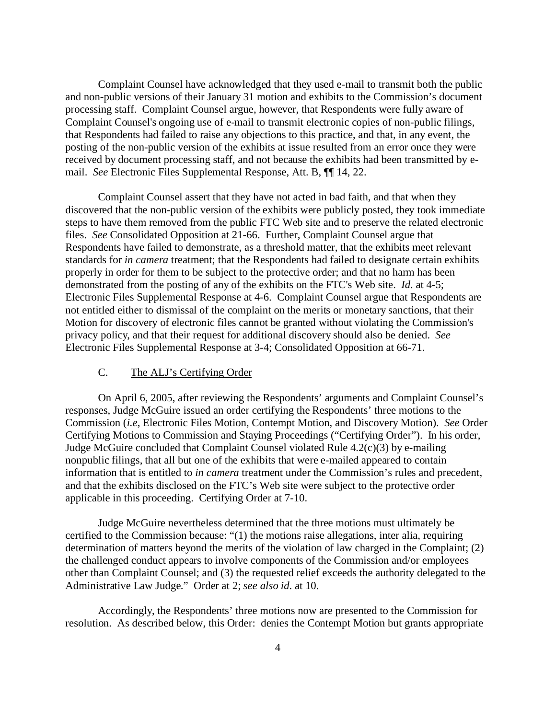Complaint Counsel have acknowledged that they used e-mail to transmit both the public and non-public versions of their January 31 motion and exhibits to the Commission's document processing staff. Complaint Counsel argue, however, that Respondents were fully aware of Complaint Counsel's ongoing use of e-mail to transmit electronic copies of non-public filings, that Respondents had failed to raise any objections to this practice, and that, in any event, the posting of the non-public version of the exhibits at issue resulted from an error once they were received by document processing staff, and not because the exhibits had been transmitted by email. *See* Electronic Files Supplemental Response, Att. B, ¶¶ 14, 22.

Complaint Counsel assert that they have not acted in bad faith, and that when they discovered that the non-public version of the exhibits were publicly posted, they took immediate steps to have them removed from the public FTC Web site and to preserve the related electronic files. *See* Consolidated Opposition at 21-66. Further, Complaint Counsel argue that Respondents have failed to demonstrate, as a threshold matter, that the exhibits meet relevant standards for *in camera* treatment; that the Respondents had failed to designate certain exhibits properly in order for them to be subject to the protective order; and that no harm has been demonstrated from the posting of any of the exhibits on the FTC's Web site. *Id*. at 4-5; Electronic Files Supplemental Response at 4-6. Complaint Counsel argue that Respondents are not entitled either to dismissal of the complaint on the merits or monetary sanctions, that their Motion for discovery of electronic files cannot be granted without violating the Commission's privacy policy, and that their request for additional discovery should also be denied. *See* Electronic Files Supplemental Response at 3-4; Consolidated Opposition at 66-71.

## C. The ALJ's Certifying Order

On April 6, 2005, after reviewing the Respondents' arguments and Complaint Counsel's responses, Judge McGuire issued an order certifying the Respondents' three motions to the Commission (*i.e*, Electronic Files Motion, Contempt Motion, and Discovery Motion). *See* Order Certifying Motions to Commission and Staying Proceedings ("Certifying Order"). In his order, Judge McGuire concluded that Complaint Counsel violated Rule 4.2(c)(3) by e-mailing nonpublic filings, that all but one of the exhibits that were e-mailed appeared to contain information that is entitled to *in camera* treatment under the Commission's rules and precedent, and that the exhibits disclosed on the FTC's Web site were subject to the protective order applicable in this proceeding. Certifying Order at 7-10.

Judge McGuire nevertheless determined that the three motions must ultimately be certified to the Commission because: "(1) the motions raise allegations, inter alia, requiring determination of matters beyond the merits of the violation of law charged in the Complaint; (2) the challenged conduct appears to involve components of the Commission and/or employees other than Complaint Counsel; and (3) the requested relief exceeds the authority delegated to the Administrative Law Judge." Order at 2; *see also id*. at 10.

Accordingly, the Respondents' three motions now are presented to the Commission for resolution. As described below, this Order: denies the Contempt Motion but grants appropriate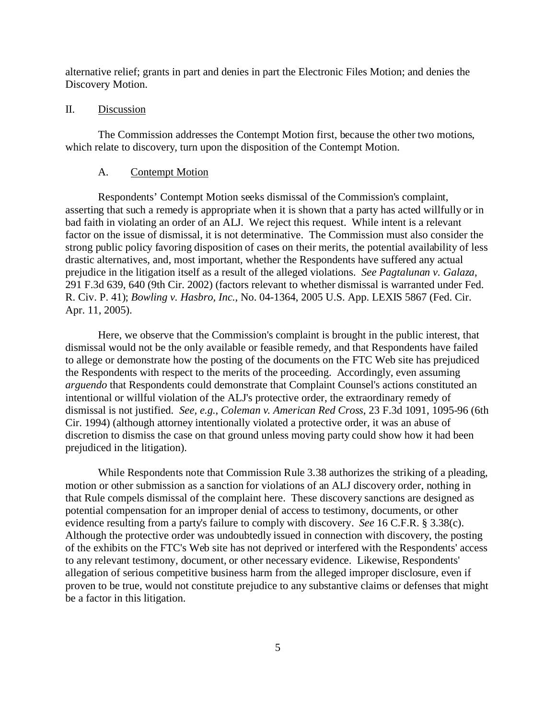alternative relief; grants in part and denies in part the Electronic Files Motion; and denies the Discovery Motion.

#### II. Discussion

The Commission addresses the Contempt Motion first, because the other two motions, which relate to discovery, turn upon the disposition of the Contempt Motion.

#### A. Contempt Motion

Respondents' Contempt Motion seeks dismissal of the Commission's complaint, asserting that such a remedy is appropriate when it is shown that a party has acted willfully or in bad faith in violating an order of an ALJ. We reject this request. While intent is a relevant factor on the issue of dismissal, it is not determinative. The Commission must also consider the strong public policy favoring disposition of cases on their merits, the potential availability of less drastic alternatives, and, most important, whether the Respondents have suffered any actual prejudice in the litigation itself as a result of the alleged violations. *See Pagtalunan v. Galaza*, 291 F.3d 639, 640 (9th Cir. 2002) (factors relevant to whether dismissal is warranted under Fed. R. Civ. P. 41); *Bowling v. Hasbro, Inc.*, No. 04-1364, 2005 U.S. App. LEXIS 5867 (Fed. Cir. Apr. 11, 2005).

Here, we observe that the Commission's complaint is brought in the public interest, that dismissal would not be the only available or feasible remedy, and that Respondents have failed to allege or demonstrate how the posting of the documents on the FTC Web site has prejudiced the Respondents with respect to the merits of the proceeding. Accordingly, even assuming *arguendo* that Respondents could demonstrate that Complaint Counsel's actions constituted an intentional or willful violation of the ALJ's protective order, the extraordinary remedy of dismissal is not justified. *See, e.g.*, *Coleman v. American Red Cross*, 23 F.3d 1091, 1095-96 (6th Cir. 1994) (although attorney intentionally violated a protective order, it was an abuse of discretion to dismiss the case on that ground unless moving party could show how it had been prejudiced in the litigation).

While Respondents note that Commission Rule 3.38 authorizes the striking of a pleading, motion or other submission as a sanction for violations of an ALJ discovery order, nothing in that Rule compels dismissal of the complaint here. These discovery sanctions are designed as potential compensation for an improper denial of access to testimony, documents, or other evidence resulting from a party's failure to comply with discovery. *See* 16 C.F.R. § 3.38(c). Although the protective order was undoubtedly issued in connection with discovery, the posting of the exhibits on the FTC's Web site has not deprived or interfered with the Respondents' access to any relevant testimony, document, or other necessary evidence. Likewise, Respondents' allegation of serious competitive business harm from the alleged improper disclosure, even if proven to be true, would not constitute prejudice to any substantive claims or defenses that might be a factor in this litigation.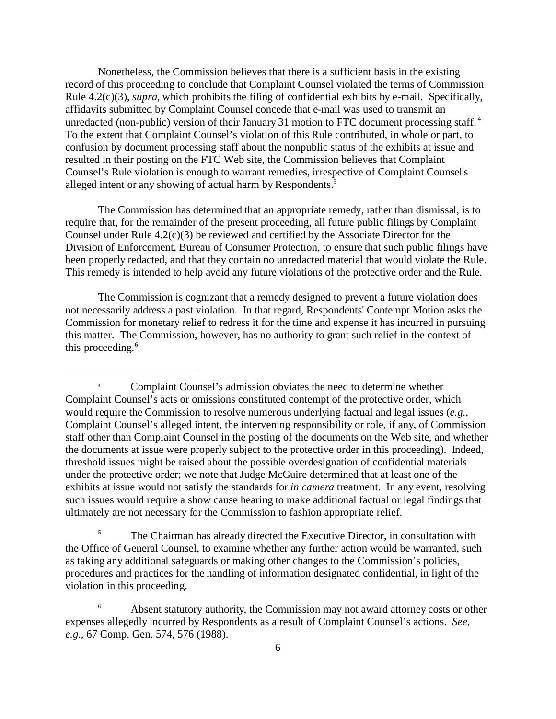Nonetheless, the Commission believes that there is a sufficient basis in the existing record of this proceeding to conclude that Complaint Counsel violated the terms of Commission Rule 4.2(c)(3), *supra*, which prohibits the filing of confidential exhibits by e-mail. Specifically, affidavits submitted by Complaint Counsel concede that e-mail was used to transmit an unredacted (non-public) version of their January 31 motion to FTC document processing staff.<sup>4</sup> To the extent that Complaint Counsel's violation of this Rule contributed, in whole or part, to confusion by document processing staff about the nonpublic status of the exhibits at issue and resulted in their posting on the FTC Web site, the Commission believes that Complaint Counsel's Rule violation is enough to warrant remedies, irrespective of Complaint Counsel's alleged intent or any showing of actual harm by Respondents.<sup>5</sup>

The Commission has determined that an appropriate remedy, rather than dismissal, is to require that, for the remainder of the present proceeding, all future public filings by Complaint Counsel under Rule 4.2(c)(3) be reviewed and certified by the Associate Director for the Division of Enforcement, Bureau of Consumer Protection, to ensure that such public filings have been properly redacted, and that they contain no unredacted material that would violate the Rule. This remedy is intended to help avoid any future violations of the protective order and the Rule.

The Commission is cognizant that a remedy designed to prevent a future violation does not necessarily address a past violation. In that regard, Respondents' Contempt Motion asks the Commission for monetary relief to redress it for the time and expense it has incurred in pursuing this matter. The Commission, however, has no authority to grant such relief in the context of this proceeding.<sup>6</sup>

<sup>5</sup> The Chairman has already directed the Executive Director, in consultation with the Office of General Counsel, to examine whether any further action would be warranted, such as taking any additional safeguards or making other changes to the Commission's policies, procedures and practices for the handling of information designated confidential, in light of the violation in this proceeding.

Complaint Counsel's admission obviates the need to determine whether Complaint Counsel's acts or omissions constituted contempt of the protective order, which would require the Commission to resolve numerous underlying factual and legal issues (*e.g.*, Complaint Counsel's alleged intent, the intervening responsibility or role, if any, of Commission staff other than Complaint Counsel in the posting of the documents on the Web site, and whether the documents at issue were properly subject to the protective order in this proceeding). Indeed, threshold issues might be raised about the possible overdesignation of confidential materials under the protective order; we note that Judge McGuire determined that at least one of the exhibits at issue would not satisfy the standards for *in camera* treatment. In any event, resolving such issues would require a show cause hearing to make additional factual or legal findings that ultimately are not necessary for the Commission to fashion appropriate relief.

Absent statutory authority, the Commission may not award attorney costs or other expenses allegedly incurred by Respondents as a result of Complaint Counsel's actions. *See, e.g.*, 67 Comp. Gen. 574, 576 (1988).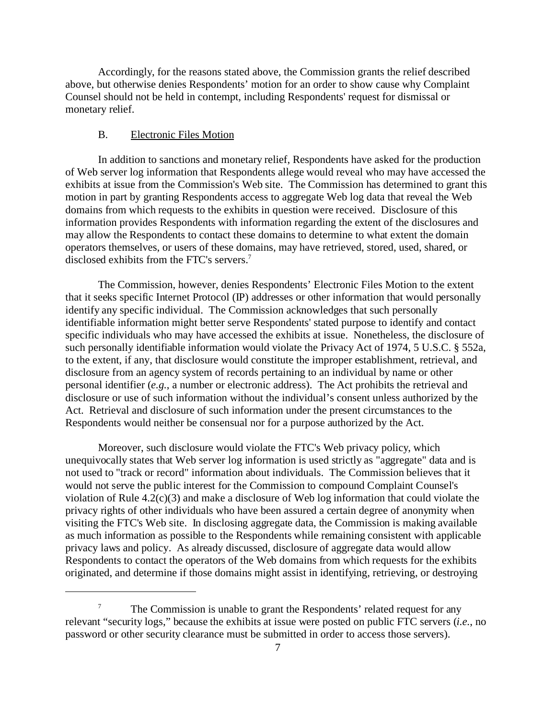Accordingly, for the reasons stated above, the Commission grants the relief described above, but otherwise denies Respondents' motion for an order to show cause why Complaint Counsel should not be held in contempt, including Respondents' request for dismissal or monetary relief.

## B. Electronic Files Motion

In addition to sanctions and monetary relief, Respondents have asked for the production of Web server log information that Respondents allege would reveal who may have accessed the exhibits at issue from the Commission's Web site. The Commission has determined to grant this motion in part by granting Respondents access to aggregate Web log data that reveal the Web domains from which requests to the exhibits in question were received. Disclosure of this information provides Respondents with information regarding the extent of the disclosures and may allow the Respondents to contact these domains to determine to what extent the domain operators themselves, or users of these domains, may have retrieved, stored, used, shared, or disclosed exhibits from the FTC's servers.<sup>7</sup>

The Commission, however, denies Respondents' Electronic Files Motion to the extent that it seeks specific Internet Protocol (IP) addresses or other information that would personally identify any specific individual. The Commission acknowledges that such personally identifiable information might better serve Respondents' stated purpose to identify and contact specific individuals who may have accessed the exhibits at issue. Nonetheless, the disclosure of such personally identifiable information would violate the Privacy Act of 1974, 5 U.S.C. § 552a, to the extent, if any, that disclosure would constitute the improper establishment, retrieval, and disclosure from an agency system of records pertaining to an individual by name or other personal identifier (*e.g.*, a number or electronic address). The Act prohibits the retrieval and disclosure or use of such information without the individual's consent unless authorized by the Act. Retrieval and disclosure of such information under the present circumstances to the Respondents would neither be consensual nor for a purpose authorized by the Act.

Moreover, such disclosure would violate the FTC's Web privacy policy, which unequivocally states that Web server log information is used strictly as "aggregate" data and is not used to "track or record" information about individuals. The Commission believes that it would not serve the public interest for the Commission to compound Complaint Counsel's violation of Rule 4.2(c)(3) and make a disclosure of Web log information that could violate the privacy rights of other individuals who have been assured a certain degree of anonymity when visiting the FTC's Web site. In disclosing aggregate data, the Commission is making available as much information as possible to the Respondents while remaining consistent with applicable privacy laws and policy. As already discussed, disclosure of aggregate data would allow Respondents to contact the operators of the Web domains from which requests for the exhibits originated, and determine if those domains might assist in identifying, retrieving, or destroying

The Commission is unable to grant the Respondents' related request for any relevant "security logs," because the exhibits at issue were posted on public FTC servers (*i.e.*, no password or other security clearance must be submitted in order to access those servers).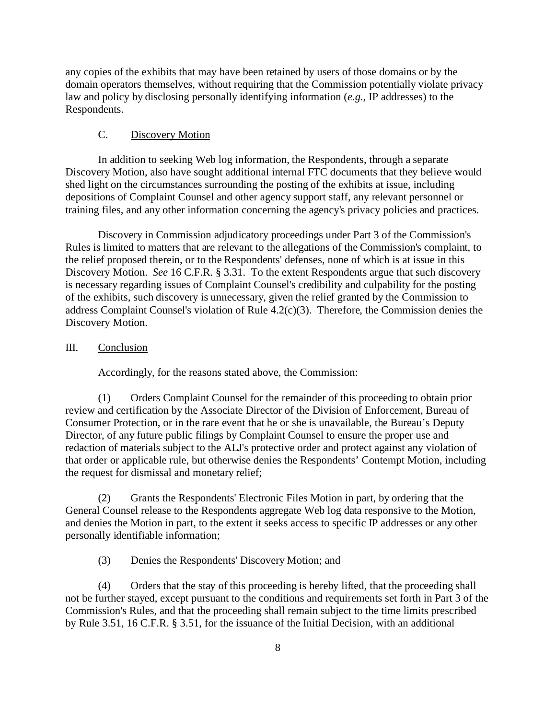any copies of the exhibits that may have been retained by users of those domains or by the domain operators themselves, without requiring that the Commission potentially violate privacy law and policy by disclosing personally identifying information (*e.g.*, IP addresses) to the Respondents.

## C. Discovery Motion

In addition to seeking Web log information, the Respondents, through a separate Discovery Motion, also have sought additional internal FTC documents that they believe would shed light on the circumstances surrounding the posting of the exhibits at issue, including depositions of Complaint Counsel and other agency support staff, any relevant personnel or training files, and any other information concerning the agency's privacy policies and practices.

Discovery in Commission adjudicatory proceedings under Part 3 of the Commission's Rules is limited to matters that are relevant to the allegations of the Commission's complaint, to the relief proposed therein, or to the Respondents' defenses, none of which is at issue in this Discovery Motion. *See* 16 C.F.R. § 3.31. To the extent Respondents argue that such discovery is necessary regarding issues of Complaint Counsel's credibility and culpability for the posting of the exhibits, such discovery is unnecessary, given the relief granted by the Commission to address Complaint Counsel's violation of Rule 4.2(c)(3). Therefore, the Commission denies the Discovery Motion.

#### III. Conclusion

Accordingly, for the reasons stated above, the Commission:

(1) Orders Complaint Counsel for the remainder of this proceeding to obtain prior review and certification by the Associate Director of the Division of Enforcement, Bureau of Consumer Protection, or in the rare event that he or she is unavailable, the Bureau's Deputy Director, of any future public filings by Complaint Counsel to ensure the proper use and redaction of materials subject to the ALJ's protective order and protect against any violation of that order or applicable rule, but otherwise denies the Respondents' Contempt Motion, including the request for dismissal and monetary relief;

(2) Grants the Respondents' Electronic Files Motion in part, by ordering that the General Counsel release to the Respondents aggregate Web log data responsive to the Motion, and denies the Motion in part, to the extent it seeks access to specific IP addresses or any other personally identifiable information;

(3) Denies the Respondents' Discovery Motion; and

(4) Orders that the stay of this proceeding is hereby lifted, that the proceeding shall not be further stayed, except pursuant to the conditions and requirements set forth in Part 3 of the Commission's Rules, and that the proceeding shall remain subject to the time limits prescribed by Rule 3.51, 16 C.F.R. § 3.51, for the issuance of the Initial Decision, with an additional